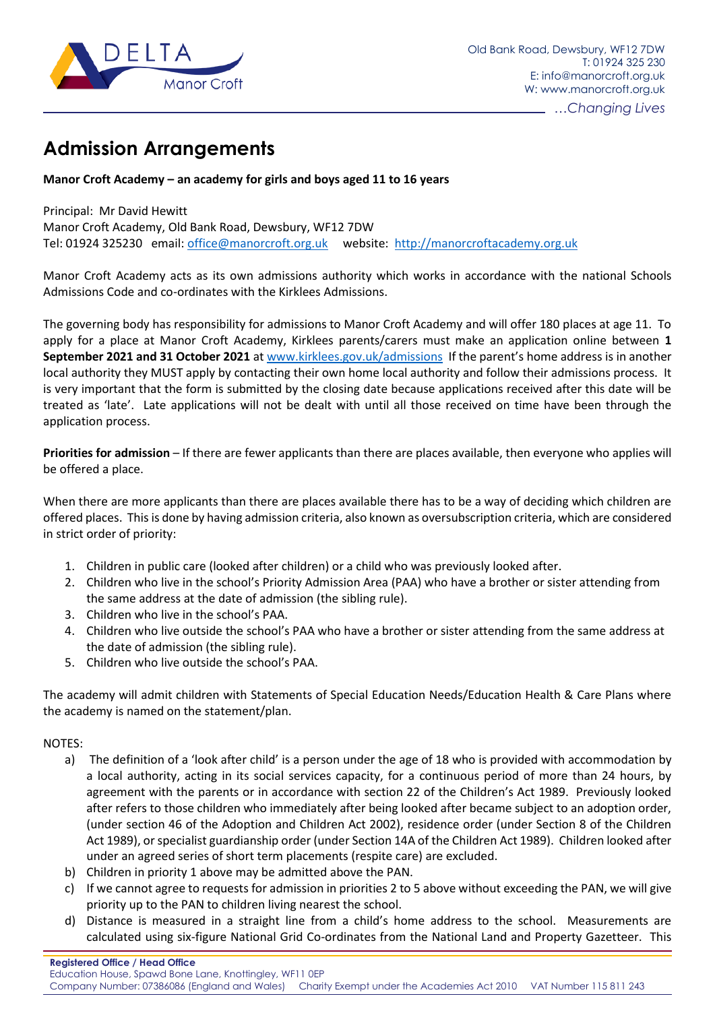

## **Admission Arrangements**

## **Manor Croft Academy – an academy for girls and boys aged 11 to 16 years**

Principal: Mr David Hewitt Manor Croft Academy, Old Bank Road, Dewsbury, WF12 7DW Tel: 01924 325230 email: [office@manorcroft.org.uk](mailto:office@manorcroft.org.uk) website: [http://manorcroftacademy.org.uk](http://manorcroftacademy.org.uk/)

Manor Croft Academy acts as its own admissions authority which works in accordance with the national Schools Admissions Code and co-ordinates with the Kirklees Admissions.

The governing body has responsibility for admissions to Manor Croft Academy and will offer 180 places at age 11. To apply for a place at Manor Croft Academy, Kirklees parents/carers must make an application online between **1 September 2021 and 31 October 2021** at [www.kirklees.gov.uk/admissions](http://www.kirklees.gov.uk/admissions) If the parent's home address is in another local authority they MUST apply by contacting their own home local authority and follow their admissions process. It is very important that the form is submitted by the closing date because applications received after this date will be treated as 'late'. Late applications will not be dealt with until all those received on time have been through the application process.

**Priorities for admission** – If there are fewer applicants than there are places available, then everyone who applies will be offered a place.

When there are more applicants than there are places available there has to be a way of deciding which children are offered places. This is done by having admission criteria, also known as oversubscription criteria, which are considered in strict order of priority:

- 1. Children in public care (looked after children) or a child who was previously looked after.
- 2. Children who live in the school's Priority Admission Area (PAA) who have a brother or sister attending from the same address at the date of admission (the sibling rule).
- 3. Children who live in the school's PAA.
- 4. Children who live outside the school's PAA who have a brother or sister attending from the same address at the date of admission (the sibling rule).
- 5. Children who live outside the school's PAA.

The academy will admit children with Statements of Special Education Needs/Education Health & Care Plans where the academy is named on the statement/plan.

## NOTES:

- a) The definition of a 'look after child' is a person under the age of 18 who is provided with accommodation by a local authority, acting in its social services capacity, for a continuous period of more than 24 hours, by agreement with the parents or in accordance with section 22 of the Children's Act 1989. Previously looked after refers to those children who immediately after being looked after became subject to an adoption order, (under section 46 of the Adoption and Children Act 2002), residence order (under Section 8 of the Children Act 1989), or specialist guardianship order (under Section 14A of the Children Act 1989). Children looked after under an agreed series of short term placements (respite care) are excluded.
- b) Children in priority 1 above may be admitted above the PAN.
- c) If we cannot agree to requests for admission in priorities 2 to 5 above without exceeding the PAN, we will give priority up to the PAN to children living nearest the school.
- d) Distance is measured in a straight line from a child's home address to the school. Measurements are calculated using six-figure National Grid Co-ordinates from the National Land and Property Gazetteer. This